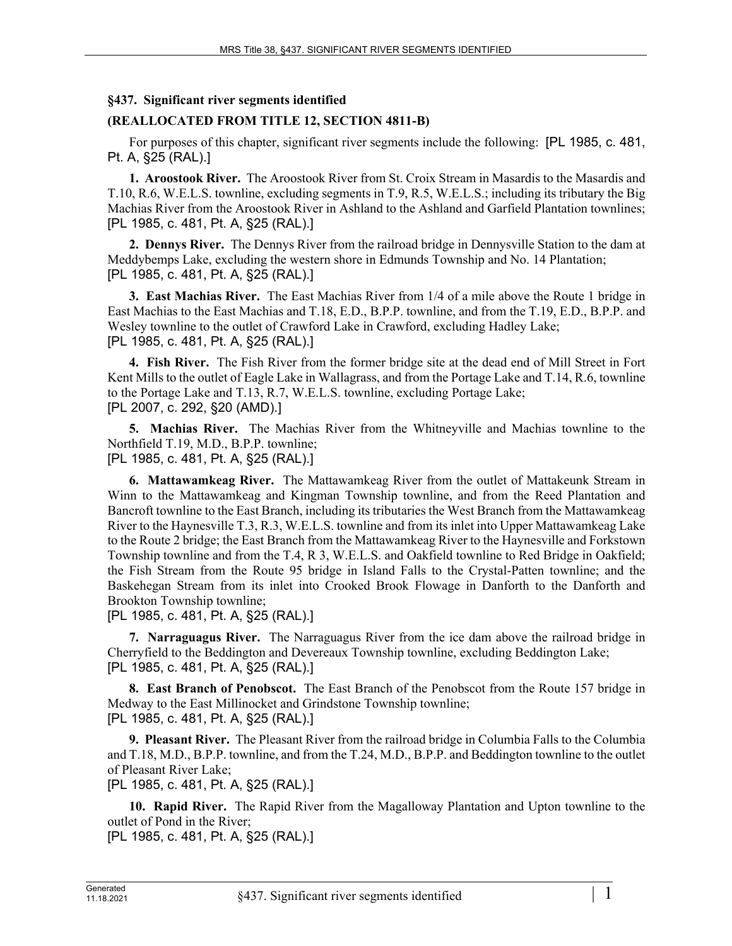## **§437. Significant river segments identified**

## **(REALLOCATED FROM TITLE 12, SECTION 4811-B)**

For purposes of this chapter, significant river segments include the following: [PL 1985, c. 481, Pt. A, §25 (RAL).]

**1. Aroostook River.** The Aroostook River from St. Croix Stream in Masardis to the Masardis and T.10, R.6, W.E.L.S. townline, excluding segments in T.9, R.5, W.E.L.S.; including its tributary the Big Machias River from the Aroostook River in Ashland to the Ashland and Garfield Plantation townlines; [PL 1985, c. 481, Pt. A, §25 (RAL).]

**2. Dennys River.** The Dennys River from the railroad bridge in Dennysville Station to the dam at Meddybemps Lake, excluding the western shore in Edmunds Township and No. 14 Plantation; [PL 1985, c. 481, Pt. A, §25 (RAL).]

**3. East Machias River.** The East Machias River from 1/4 of a mile above the Route 1 bridge in East Machias to the East Machias and T.18, E.D., B.P.P. townline, and from the T.19, E.D., B.P.P. and Wesley townline to the outlet of Crawford Lake in Crawford, excluding Hadley Lake; [PL 1985, c. 481, Pt. A, §25 (RAL).]

**4. Fish River.** The Fish River from the former bridge site at the dead end of Mill Street in Fort Kent Mills to the outlet of Eagle Lake in Wallagrass, and from the Portage Lake and T.14, R.6, townline to the Portage Lake and T.13, R.7, W.E.L.S. townline, excluding Portage Lake; [PL 2007, c. 292, §20 (AMD).]

**5. Machias River.** The Machias River from the Whitneyville and Machias townline to the Northfield T.19, M.D., B.P.P. townline; [PL 1985, c. 481, Pt. A, §25 (RAL).]

**6. Mattawamkeag River.** The Mattawamkeag River from the outlet of Mattakeunk Stream in Winn to the Mattawamkeag and Kingman Township townline, and from the Reed Plantation and Bancroft townline to the East Branch, including its tributaries the West Branch from the Mattawamkeag River to the Haynesville T.3, R.3, W.E.L.S. townline and from its inlet into Upper Mattawamkeag Lake to the Route 2 bridge; the East Branch from the Mattawamkeag River to the Haynesville and Forkstown Township townline and from the T.4, R 3, W.E.L.S. and Oakfield townline to Red Bridge in Oakfield; the Fish Stream from the Route 95 bridge in Island Falls to the Crystal-Patten townline; and the Baskehegan Stream from its inlet into Crooked Brook Flowage in Danforth to the Danforth and Brookton Township townline;

[PL 1985, c. 481, Pt. A, §25 (RAL).]

**7. Narraguagus River.** The Narraguagus River from the ice dam above the railroad bridge in Cherryfield to the Beddington and Devereaux Township townline, excluding Beddington Lake; [PL 1985, c. 481, Pt. A, §25 (RAL).]

**8. East Branch of Penobscot.** The East Branch of the Penobscot from the Route 157 bridge in Medway to the East Millinocket and Grindstone Township townline; [PL 1985, c. 481, Pt. A, §25 (RAL).]

**9. Pleasant River.** The Pleasant River from the railroad bridge in Columbia Falls to the Columbia and T.18, M.D., B.P.P. townline, and from the T.24, M.D., B.P.P. and Beddington townline to the outlet of Pleasant River Lake;

[PL 1985, c. 481, Pt. A, §25 (RAL).]

**10. Rapid River.** The Rapid River from the Magalloway Plantation and Upton townline to the outlet of Pond in the River;

[PL 1985, c. 481, Pt. A, §25 (RAL).]